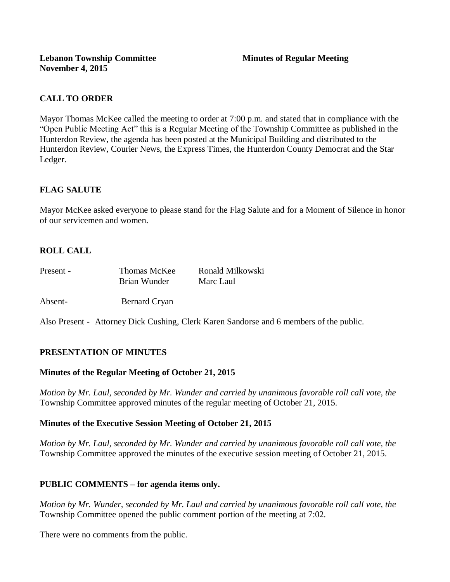# **CALL TO ORDER**

Mayor Thomas McKee called the meeting to order at 7:00 p.m. and stated that in compliance with the "Open Public Meeting Act" this is a Regular Meeting of the Township Committee as published in the Hunterdon Review, the agenda has been posted at the Municipal Building and distributed to the Hunterdon Review, Courier News, the Express Times, the Hunterdon County Democrat and the Star Ledger.

# **FLAG SALUTE**

Mayor McKee asked everyone to please stand for the Flag Salute and for a Moment of Silence in honor of our servicemen and women.

# **ROLL CALL**

| Present - | Thomas McKee | Ronald Milkowski |
|-----------|--------------|------------------|
|           | Brian Wunder | Marc Laul        |

Absent- Bernard Cryan

Also Present - Attorney Dick Cushing, Clerk Karen Sandorse and 6 members of the public.

## **PRESENTATION OF MINUTES**

#### **Minutes of the Regular Meeting of October 21, 2015**

*Motion by Mr. Laul, seconded by Mr. Wunder and carried by unanimous favorable roll call vote, the*  Township Committee approved minutes of the regular meeting of October 21, 2015.

#### **Minutes of the Executive Session Meeting of October 21, 2015**

*Motion by Mr. Laul, seconded by Mr. Wunder and carried by unanimous favorable roll call vote, the*  Township Committee approved the minutes of the executive session meeting of October 21, 2015.

#### **PUBLIC COMMENTS – for agenda items only.**

*Motion by Mr. Wunder, seconded by Mr. Laul and carried by unanimous favorable roll call vote, the* Township Committee opened the public comment portion of the meeting at 7:02.

There were no comments from the public.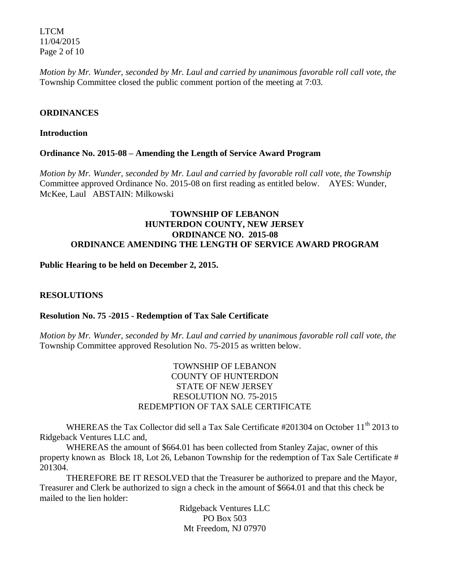LTCM 11/04/2015 Page 2 of 10

*Motion by Mr. Wunder, seconded by Mr. Laul and carried by unanimous favorable roll call vote, the* Township Committee closed the public comment portion of the meeting at 7:03.

### **ORDINANCES**

#### **Introduction**

### **Ordinance No. 2015-08 – Amending the Length of Service Award Program**

*Motion by Mr. Wunder, seconded by Mr. Laul and carried by favorable roll call vote*, *the Township* Committee approved Ordinance No. 2015-08 on first reading as entitled below. AYES: Wunder, McKee, Laul ABSTAIN: Milkowski

### **TOWNSHIP OF LEBANON HUNTERDON COUNTY, NEW JERSEY ORDINANCE NO. 2015-08 ORDINANCE AMENDING THE LENGTH OF SERVICE AWARD PROGRAM**

### **Public Hearing to be held on December 2, 2015.**

### **RESOLUTIONS**

#### **Resolution No. 75 -2015 - Redemption of Tax Sale Certificate**

*Motion by Mr. Wunder, seconded by Mr. Laul and carried by unanimous favorable roll call vote*, *the* Township Committee approved Resolution No. 75-2015 as written below.

### TOWNSHIP OF LEBANON COUNTY OF HUNTERDON STATE OF NEW JERSEY RESOLUTION NO. 75-2015 REDEMPTION OF TAX SALE CERTIFICATE

WHEREAS the Tax Collector did sell a Tax Sale Certificate #201304 on October 11<sup>th</sup> 2013 to Ridgeback Ventures LLC and,

WHEREAS the amount of \$664.01 has been collected from Stanley Zajac, owner of this property known as Block 18, Lot 26, Lebanon Township for the redemption of Tax Sale Certificate # 201304.

THEREFORE BE IT RESOLVED that the Treasurer be authorized to prepare and the Mayor, Treasurer and Clerk be authorized to sign a check in the amount of \$664.01 and that this check be mailed to the lien holder:

> Ridgeback Ventures LLC PO Box 503 Mt Freedom, NJ 07970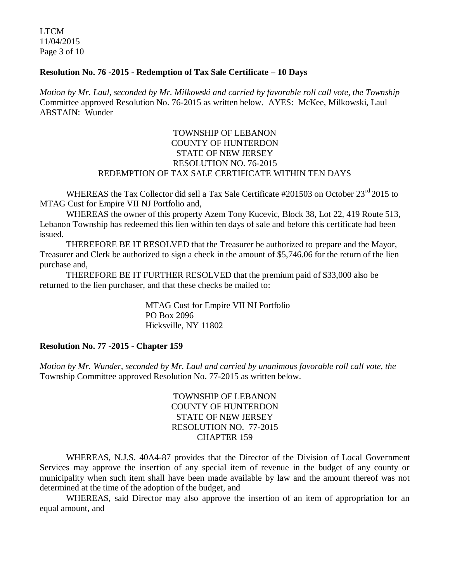LTCM 11/04/2015 Page 3 of 10

#### **Resolution No. 76 -2015 - Redemption of Tax Sale Certificate – 10 Days**

*Motion by Mr. Laul, seconded by Mr. Milkowski and carried by favorable roll call vote*, *the Township* Committee approved Resolution No. 76-2015 as written below. AYES: McKee, Milkowski, Laul ABSTAIN: Wunder

### TOWNSHIP OF LEBANON COUNTY OF HUNTERDON STATE OF NEW JERSEY RESOLUTION NO. 76-2015 REDEMPTION OF TAX SALE CERTIFICATE WITHIN TEN DAYS

WHEREAS the Tax Collector did sell a Tax Sale Certificate #201503 on October 23<sup>rd</sup> 2015 to MTAG Cust for Empire VII NJ Portfolio and,

WHEREAS the owner of this property Azem Tony Kucevic, Block 38, Lot 22, 419 Route 513, Lebanon Township has redeemed this lien within ten days of sale and before this certificate had been issued.

THEREFORE BE IT RESOLVED that the Treasurer be authorized to prepare and the Mayor, Treasurer and Clerk be authorized to sign a check in the amount of \$5,746.06 for the return of the lien purchase and,

THEREFORE BE IT FURTHER RESOLVED that the premium paid of \$33,000 also be returned to the lien purchaser, and that these checks be mailed to:

> MTAG Cust for Empire VII NJ Portfolio PO Box 2096 Hicksville, NY 11802

#### **Resolution No. 77 -2015 - Chapter 159**

*Motion by Mr. Wunder, seconded by Mr. Laul and carried by unanimous favorable roll call vote*, *the* Township Committee approved Resolution No. 77-2015 as written below.

> TOWNSHIP OF LEBANON COUNTY OF HUNTERDON STATE OF NEW JERSEY RESOLUTION NO. 77-2015 CHAPTER 159

WHEREAS, N.J.S. 40A4-87 provides that the Director of the Division of Local Government Services may approve the insertion of any special item of revenue in the budget of any county or municipality when such item shall have been made available by law and the amount thereof was not determined at the time of the adoption of the budget, and

WHEREAS, said Director may also approve the insertion of an item of appropriation for an equal amount, and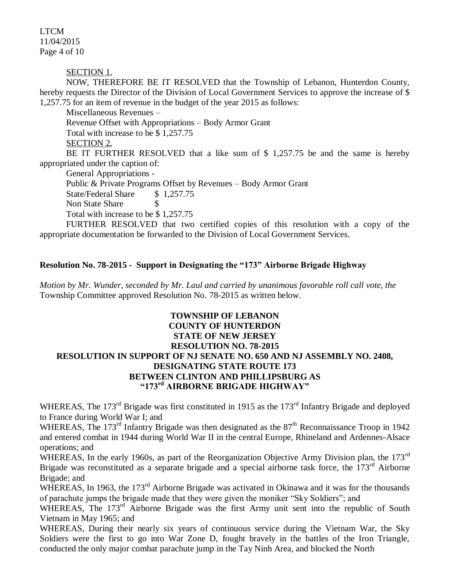LTCM 11/04/2015 Page 4 of 10

### SECTION 1,

NOW, THEREFORE BE IT RESOLVED that the Township of Lebanon, Hunterdon County, hereby requests the Director of the Division of Local Government Services to approve the increase of \$ 1,257.75 for an item of revenue in the budget of the year 2015 as follows:

Miscellaneous Revenues – Revenue Offset with Appropriations – Body Armor Grant Total with increase to be \$ 1,257.75 SECTION 2,

BE IT FURTHER RESOLVED that a like sum of \$ 1,257.75 be and the same is hereby appropriated under the caption of:

General Appropriations - Public & Private Programs Offset by Revenues – Body Armor Grant State/Federal Share \$1,257.75 Non State Share \$ Total with increase to be \$ 1,257.75

FURTHER RESOLVED that two certified copies of this resolution with a copy of the appropriate documentation be forwarded to the Division of Local Government Services.

#### **Resolution No. 78-2015 - Support in Designating the "173" Airborne Brigade Highway**

*Motion by Mr. Wunder, seconded by Mr. Laul and carried by unanimous favorable roll call vote*, *the* Township Committee approved Resolution No. 78-2015 as written below.

## **TOWNSHIP OF LEBANON COUNTY OF HUNTERDON STATE OF NEW JERSEY RESOLUTION NO. 78-2015 RESOLUTION IN SUPPORT OF NJ SENATE NO. 650 AND NJ ASSEMBLY NO. 2408, DESIGNATING STATE ROUTE 173 BETWEEN CLINTON AND PHILLIPSBURG AS "173rd AIRBORNE BRIGADE HIGHWAY"**

WHEREAS, The 173<sup>rd</sup> Brigade was first constituted in 1915 as the 173<sup>rd</sup> Infantry Brigade and deployed to France during World War I; and

WHEREAS, The 173<sup>rd</sup> Infantry Brigade was then designated as the  $87<sup>th</sup>$  Reconnaissance Troop in 1942 and entered combat in 1944 during World War II in the central Europe, Rhineland and Ardennes-Alsace operations; and

WHEREAS, In the early 1960s, as part of the Reorganization Objective Army Division plan, the 173<sup>rd</sup> Brigade was reconstituted as a separate brigade and a special airborne task force, the  $173<sup>rd</sup>$  Airborne Brigade; and

WHEREAS, In 1963, the 173<sup>rd</sup> Airborne Brigade was activated in Okinawa and it was for the thousands of parachute jumps the brigade made that they were given the moniker "Sky Soldiers"; and

WHEREAS, The 173<sup>rd</sup> Airborne Brigade was the first Army unit sent into the republic of South Vietnam in May 1965; and

WHEREAS, During their nearly six years of continuous service during the Vietnam War, the Sky Soldiers were the first to go into War Zone D, fought bravely in the battles of the Iron Triangle, conducted the only major combat parachute jump in the Tay Ninh Area, and blocked the North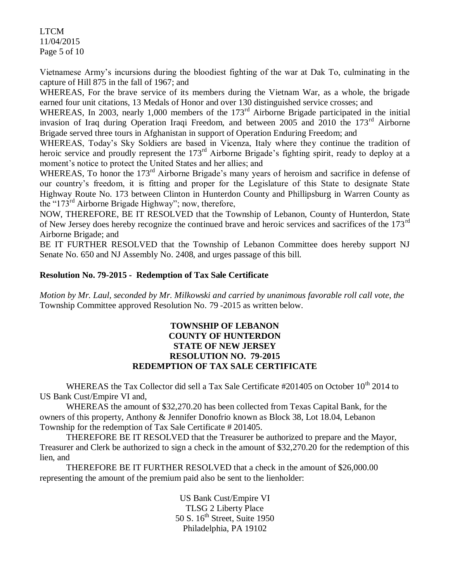LTCM 11/04/2015 Page 5 of 10

Vietnamese Army's incursions during the bloodiest fighting of the war at Dak To, culminating in the capture of Hill 875 in the fall of 1967; and

WHEREAS, For the brave service of its members during the Vietnam War, as a whole, the brigade earned four unit citations, 13 Medals of Honor and over 130 distinguished service crosses; and

WHEREAS, In 2003, nearly 1,000 members of the 173<sup>rd</sup> Airborne Brigade participated in the initial invasion of Iraq during Operation Iraqi Freedom, and between 2005 and 2010 the 173<sup>rd</sup> Airborne Brigade served three tours in Afghanistan in support of Operation Enduring Freedom; and

WHEREAS, Today's Sky Soldiers are based in Vicenza, Italy where they continue the tradition of heroic service and proudly represent the 173<sup>rd</sup> Airborne Brigade's fighting spirit, ready to deploy at a moment's notice to protect the United States and her allies; and

WHEREAS, To honor the 173<sup>rd</sup> Airborne Brigade's many years of heroism and sacrifice in defense of our country's freedom, it is fitting and proper for the Legislature of this State to designate State Highway Route No. 173 between Clinton in Hunterdon County and Phillipsburg in Warren County as the "173<sup>rd</sup> Airborne Brigade Highway"; now, therefore,

NOW, THEREFORE, BE IT RESOLVED that the Township of Lebanon, County of Hunterdon, State of New Jersey does hereby recognize the continued brave and heroic services and sacrifices of the 173rd Airborne Brigade; and

BE IT FURTHER RESOLVED that the Township of Lebanon Committee does hereby support NJ Senate No. 650 and NJ Assembly No. 2408, and urges passage of this bill.

### **Resolution No. 79-2015 - Redemption of Tax Sale Certificate**

*Motion by Mr. Laul, seconded by Mr. Milkowski and carried by unanimous favorable roll call vote*, *the* Township Committee approved Resolution No. 79 -2015 as written below.

### **TOWNSHIP OF LEBANON COUNTY OF HUNTERDON STATE OF NEW JERSEY RESOLUTION NO. 79-2015 REDEMPTION OF TAX SALE CERTIFICATE**

WHEREAS the Tax Collector did sell a Tax Sale Certificate #201405 on October 10<sup>th</sup> 2014 to US Bank Cust/Empire VI and,

WHEREAS the amount of \$32,270.20 has been collected from Texas Capital Bank, for the owners of this property, Anthony & Jennifer Donofrio known as Block 38, Lot 18.04, Lebanon Township for the redemption of Tax Sale Certificate # 201405.

THEREFORE BE IT RESOLVED that the Treasurer be authorized to prepare and the Mayor, Treasurer and Clerk be authorized to sign a check in the amount of \$32,270.20 for the redemption of this lien, and

THEREFORE BE IT FURTHER RESOLVED that a check in the amount of \$26,000.00 representing the amount of the premium paid also be sent to the lienholder:

> US Bank Cust/Empire VI TLSG 2 Liberty Place 50 S.  $16^{th}$  Street, Suite 1950 Philadelphia, PA 19102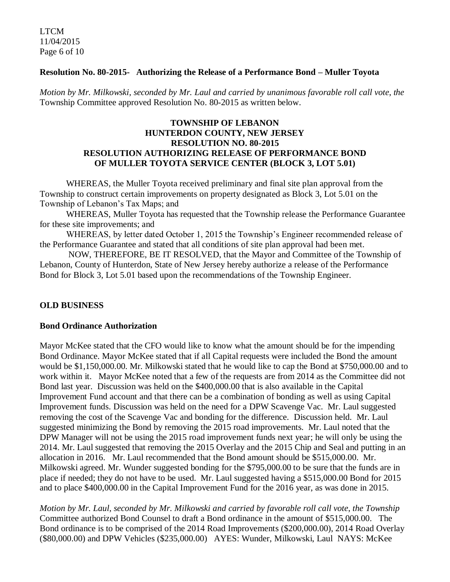LTCM 11/04/2015 Page 6 of 10

### **Resolution No. 80-2015- Authorizing the Release of a Performance Bond – Muller Toyota**

*Motion by Mr. Milkowski, seconded by Mr. Laul and carried by unanimous favorable roll call vote*, *the* Township Committee approved Resolution No. 80-2015 as written below.

### **TOWNSHIP OF LEBANON HUNTERDON COUNTY, NEW JERSEY RESOLUTION NO. 80-2015 RESOLUTION AUTHORIZING RELEASE OF PERFORMANCE BOND OF MULLER TOYOTA SERVICE CENTER (BLOCK 3, LOT 5.01)**

WHEREAS, the Muller Toyota received preliminary and final site plan approval from the Township to construct certain improvements on property designated as Block 3, Lot 5.01 on the Township of Lebanon's Tax Maps; and

WHEREAS, Muller Toyota has requested that the Township release the Performance Guarantee for these site improvements; and

WHEREAS, by letter dated October 1, 2015 the Township's Engineer recommended release of the Performance Guarantee and stated that all conditions of site plan approval had been met.

NOW, THEREFORE, BE IT RESOLVED, that the Mayor and Committee of the Township of Lebanon, County of Hunterdon, State of New Jersey hereby authorize a release of the Performance Bond for Block 3, Lot 5.01 based upon the recommendations of the Township Engineer.

## **OLD BUSINESS**

#### **Bond Ordinance Authorization**

Mayor McKee stated that the CFO would like to know what the amount should be for the impending Bond Ordinance. Mayor McKee stated that if all Capital requests were included the Bond the amount would be \$1,150,000.00. Mr. Milkowski stated that he would like to cap the Bond at \$750,000.00 and to work within it. Mayor McKee noted that a few of the requests are from 2014 as the Committee did not Bond last year. Discussion was held on the \$400,000.00 that is also available in the Capital Improvement Fund account and that there can be a combination of bonding as well as using Capital Improvement funds. Discussion was held on the need for a DPW Scavenge Vac. Mr. Laul suggested removing the cost of the Scavenge Vac and bonding for the difference. Discussion held. Mr. Laul suggested minimizing the Bond by removing the 2015 road improvements. Mr. Laul noted that the DPW Manager will not be using the 2015 road improvement funds next year; he will only be using the 2014. Mr. Laul suggested that removing the 2015 Overlay and the 2015 Chip and Seal and putting in an allocation in 2016. Mr. Laul recommended that the Bond amount should be \$515,000.00. Mr. Milkowski agreed. Mr. Wunder suggested bonding for the \$795,000.00 to be sure that the funds are in place if needed; they do not have to be used. Mr. Laul suggested having a \$515,000.00 Bond for 2015 and to place \$400,000.00 in the Capital Improvement Fund for the 2016 year, as was done in 2015.

*Motion by Mr. Laul, seconded by Mr. Milkowski and carried by favorable roll call vote*, *the Township*  Committee authorized Bond Counsel to draft a Bond ordinance in the amount of \$515,000.00. The Bond ordinance is to be comprised of the 2014 Road Improvements (\$200,000.00), 2014 Road Overlay (\$80,000.00) and DPW Vehicles (\$235,000.00) AYES: Wunder, Milkowski, Laul NAYS: McKee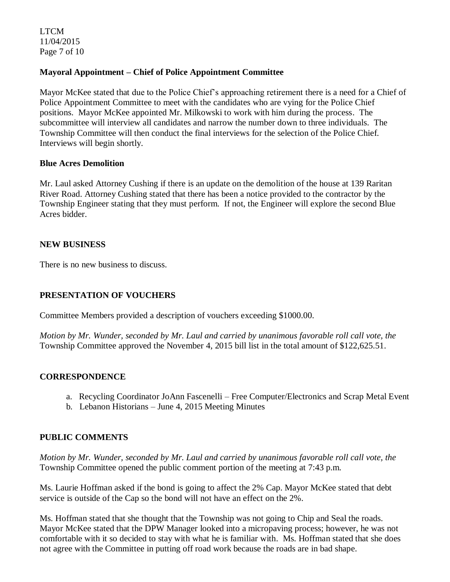LTCM 11/04/2015 Page 7 of 10

## **Mayoral Appointment – Chief of Police Appointment Committee**

Mayor McKee stated that due to the Police Chief's approaching retirement there is a need for a Chief of Police Appointment Committee to meet with the candidates who are vying for the Police Chief positions. Mayor McKee appointed Mr. Milkowski to work with him during the process. The subcommittee will interview all candidates and narrow the number down to three individuals. The Township Committee will then conduct the final interviews for the selection of the Police Chief. Interviews will begin shortly.

#### **Blue Acres Demolition**

Mr. Laul asked Attorney Cushing if there is an update on the demolition of the house at 139 Raritan River Road. Attorney Cushing stated that there has been a notice provided to the contractor by the Township Engineer stating that they must perform. If not, the Engineer will explore the second Blue Acres bidder.

### **NEW BUSINESS**

There is no new business to discuss.

### **PRESENTATION OF VOUCHERS**

Committee Members provided a description of vouchers exceeding \$1000.00.

*Motion by Mr. Wunder, seconded by Mr. Laul and carried by unanimous favorable roll call vote, the* Township Committee approved the November 4, 2015 bill list in the total amount of \$122,625.51.

#### **CORRESPONDENCE**

- a. Recycling Coordinator JoAnn Fascenelli Free Computer/Electronics and Scrap Metal Event
- b. Lebanon Historians June 4, 2015 Meeting Minutes

#### **PUBLIC COMMENTS**

*Motion by Mr. Wunder, seconded by Mr. Laul and carried by unanimous favorable roll call vote, the* Township Committee opened the public comment portion of the meeting at 7:43 p.m.

Ms. Laurie Hoffman asked if the bond is going to affect the 2% Cap. Mayor McKee stated that debt service is outside of the Cap so the bond will not have an effect on the 2%.

Ms. Hoffman stated that she thought that the Township was not going to Chip and Seal the roads. Mayor McKee stated that the DPW Manager looked into a micropaving process; however, he was not comfortable with it so decided to stay with what he is familiar with. Ms. Hoffman stated that she does not agree with the Committee in putting off road work because the roads are in bad shape.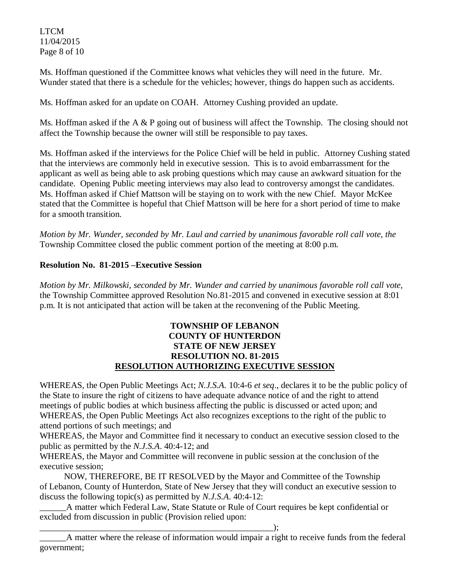LTCM 11/04/2015 Page 8 of 10

Ms. Hoffman questioned if the Committee knows what vehicles they will need in the future. Mr. Wunder stated that there is a schedule for the vehicles; however, things do happen such as accidents.

Ms. Hoffman asked for an update on COAH. Attorney Cushing provided an update.

Ms. Hoffman asked if the A  $\&$  P going out of business will affect the Township. The closing should not affect the Township because the owner will still be responsible to pay taxes.

Ms. Hoffman asked if the interviews for the Police Chief will be held in public. Attorney Cushing stated that the interviews are commonly held in executive session. This is to avoid embarrassment for the applicant as well as being able to ask probing questions which may cause an awkward situation for the candidate. Opening Public meeting interviews may also lead to controversy amongst the candidates. Ms. Hoffman asked if Chief Mattson will be staying on to work with the new Chief. Mayor McKee stated that the Committee is hopeful that Chief Mattson will be here for a short period of time to make for a smooth transition.

*Motion by Mr. Wunder, seconded by Mr. Laul and carried by unanimous favorable roll call vote, the* Township Committee closed the public comment portion of the meeting at 8:00 p.m.

# **Resolution No. 81-2015 –Executive Session**

*Motion by Mr. Milkowski, seconded by Mr. Wunder and carried by unanimous favorable roll call vote,* the Township Committee approved Resolution No.81-2015 and convened in executive session at 8:01 p.m. It is not anticipated that action will be taken at the reconvening of the Public Meeting.

## **TOWNSHIP OF LEBANON COUNTY OF HUNTERDON STATE OF NEW JERSEY RESOLUTION NO. 81-2015 RESOLUTION AUTHORIZING EXECUTIVE SESSION**

WHEREAS, the Open Public Meetings Act; *N.J.S.A.* 10:4-6 *et seq*., declares it to be the public policy of the State to insure the right of citizens to have adequate advance notice of and the right to attend meetings of public bodies at which business affecting the public is discussed or acted upon; and WHEREAS, the Open Public Meetings Act also recognizes exceptions to the right of the public to attend portions of such meetings; and

WHEREAS, the Mayor and Committee find it necessary to conduct an executive session closed to the public as permitted by the *N.J.S.A*. 40:4-12; and

WHEREAS, the Mayor and Committee will reconvene in public session at the conclusion of the executive session;

 NOW, THEREFORE, BE IT RESOLVED by the Mayor and Committee of the Township of Lebanon, County of Hunterdon, State of New Jersey that they will conduct an executive session to discuss the following topic(s) as permitted by *N.J.S.A*. 40:4-12:

A matter which Federal Law, State Statute or Rule of Court requires be kept confidential or excluded from discussion in public (Provision relied upon:

\_\_\_\_\_\_\_\_\_\_\_\_\_\_\_\_\_\_\_\_\_\_\_\_\_\_\_\_\_\_\_\_\_\_\_\_\_\_\_\_\_\_\_\_\_\_\_\_\_\_\_\_\_);

\_\_\_\_\_\_A matter where the release of information would impair a right to receive funds from the federal government;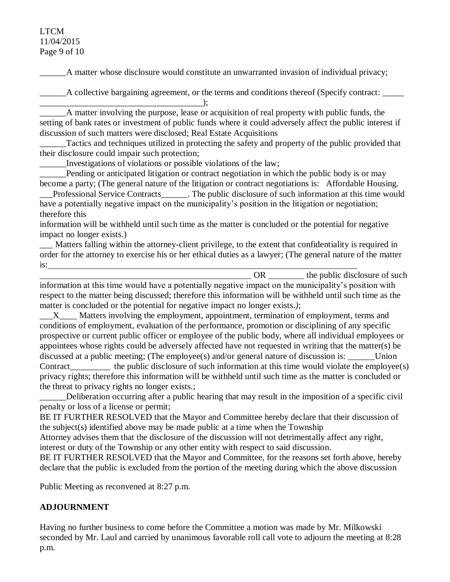### LTCM 11/04/2015 Page 9 of 10

\_\_\_\_\_\_A matter whose disclosure would constitute an unwarranted invasion of individual privacy;

\_\_\_\_\_\_A collective bargaining agreement, or the terms and conditions thereof (Specify contract: \_\_\_\_\_

\_\_\_\_\_\_A matter involving the purpose, lease or acquisition of real property with public funds, the setting of bank rates or investment of public funds where it could adversely affect the public interest if discussion of such matters were disclosed; Real Estate Acquisitions

Tactics and techniques utilized in protecting the safety and property of the public provided that their disclosure could impair such protection;

\_\_\_\_\_\_Investigations of violations or possible violations of the law;

 $\qquad \qquad$ 

Pending or anticipated litigation or contract negotiation in which the public body is or may become a party; (The general nature of the litigation or contract negotiations is: Affordable Housing.

\_\_\_Professional Service Contracts\_\_\_\_\_\_. The public disclosure of such information at this time would have a potentially negative impact on the municipality's position in the litigation or negotiation; therefore this

information will be withheld until such time as the matter is concluded or the potential for negative impact no longer exists.)

\_\_\_ Matters falling within the attorney-client privilege, to the extent that confidentiality is required in order for the attorney to exercise his or her ethical duties as a lawyer; (The general nature of the matter is:

OR \_\_\_\_\_\_\_\_ the public disclosure of such information at this time would have a potentially negative impact on the municipality's position with respect to the matter being discussed; therefore this information will be withheld until such time as the matter is concluded or the potential for negative impact no longer exists.*)*;

X Matters involving the employment, appointment, termination of employment, terms and conditions of employment, evaluation of the performance, promotion or disciplining of any specific prospective or current public officer or employee of the public body, where all individual employees or appointees whose rights could be adversely affected have not requested in writing that the matter(s) be discussed at a public meeting; (The employee(s) and/or general nature of discussion is: Union Contract the public disclosure of such information at this time would violate the employee(s) privacy rights; therefore this information will be withheld until such time as the matter is concluded or the threat to privacy rights no longer exists.;

Deliberation occurring after a public hearing that may result in the imposition of a specific civil penalty or loss of a license or permit;

BE IT FURTHER RESOLVED that the Mayor and Committee hereby declare that their discussion of the subject(s) identified above may be made public at a time when the Township

Attorney advises them that the disclosure of the discussion will not detrimentally affect any right, interest or duty of the Township or any other entity with respect to said discussion.

BE IT FURTHER RESOLVED that the Mayor and Committee, for the reasons set forth above, hereby declare that the public is excluded from the portion of the meeting during which the above discussion

Public Meeting as reconvened at 8:27 p.m.

# **ADJOURNMENT**

Having no further business to come before the Committee a motion was made by Mr. Milkowski seconded by Mr. Laul and carried by unanimous favorable roll call vote to adjourn the meeting at 8:28 p.m.